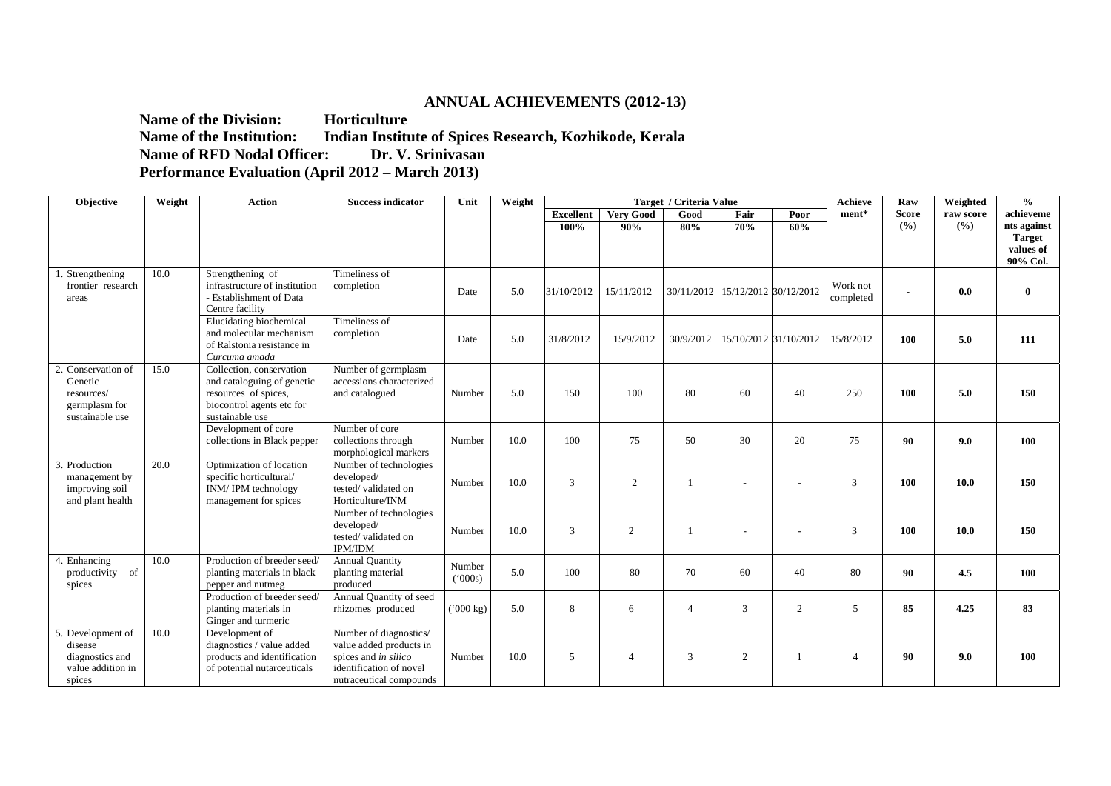## **ANNUAL ACHIEVEMENTS (2012-13)**

**Name of the Division:** Horticulture **Name of the Institution: Indian Institute of Spices Research, Kozhikode, Kerala Name of RFD Nodal Officer:** Dr. V. Srinivasan **Performance Evaluation (April 2012 – March 2013)** 

| Objective                                                                       | Weight | <b>Action</b><br><b>Success indicator</b><br>Weight<br>Target / Criteria Value<br>Unit                                         |                                                                                                                                 |                        |      |                  |                          |                |                                  | <b>Achieve</b> | Raw                   | Weighted     | $\frac{0}{0}$ |                                        |
|---------------------------------------------------------------------------------|--------|--------------------------------------------------------------------------------------------------------------------------------|---------------------------------------------------------------------------------------------------------------------------------|------------------------|------|------------------|--------------------------|----------------|----------------------------------|----------------|-----------------------|--------------|---------------|----------------------------------------|
|                                                                                 |        |                                                                                                                                |                                                                                                                                 |                        |      | <b>Excellent</b> | <b>Very Good</b>         | Good           | Fair                             | Poor           | ment*                 | <b>Score</b> | raw score     | achieveme                              |
|                                                                                 |        |                                                                                                                                |                                                                                                                                 |                        |      | 100%             | 90%                      | 80%            | 70%                              | 60%            |                       | (%)          | (%)           | nts against                            |
|                                                                                 |        |                                                                                                                                |                                                                                                                                 |                        |      |                  |                          |                |                                  |                |                       |              |               | <b>Target</b><br>values of<br>90% Col. |
| Strengthening<br>frontier research<br>areas                                     | 10.0   | Strengthening of<br>infrastructure of institution<br>- Establishment of Data<br>Centre facility                                | Timeliness of<br>completion                                                                                                     | Date                   | 5.0  | 31/10/2012       | 15/11/2012               |                | 30/11/2012 15/12/2012 30/12/2012 |                | Work not<br>completed |              | 0.0           | $\bf{0}$                               |
|                                                                                 |        | Elucidating biochemical<br>and molecular mechanism<br>of Ralstonia resistance in<br>Curcuma amada                              | Timeliness of<br>completion                                                                                                     | Date                   | 5.0  | 31/8/2012        | 15/9/2012                |                | 30/9/2012 15/10/2012 31/10/2012  |                | 15/8/2012             | 100          | 5.0           | 111                                    |
| 2. Conservation of<br>Genetic<br>resources/<br>germplasm for<br>sustainable use | 15.0   | Collection, conservation<br>and cataloguing of genetic<br>resources of spices,<br>biocontrol agents etc for<br>sustainable use | Number of germplasm<br>accessions characterized<br>and catalogued                                                               | Number                 | 5.0  | 150              | 100                      | 80             | 60                               | 40             | 250                   | <b>100</b>   | 5.0           | 150                                    |
|                                                                                 |        | Development of core<br>collections in Black pepper                                                                             | Number of core<br>collections through<br>morphological markers                                                                  | Number                 | 10.0 | 100              | 75                       | 50             | 30                               | 20             | 75                    | 90           | 9.0           | 100                                    |
| Production<br>management by<br>improving soil<br>and plant health               | 20.0   | Optimization of location<br>specific horticultural/<br>INM/IPM technology<br>management for spices                             | Number of technologies<br>developed/<br>tested/validated on<br>Horticulture/INM                                                 | Number                 | 10.0 | 3                | 2                        |                |                                  |                | 3                     | 100          | 10.0          | 150                                    |
|                                                                                 |        |                                                                                                                                | Number of technologies<br>developed/<br>tested/validated on<br><b>IPM/IDM</b>                                                   | Number                 | 10.0 | 3                | 2                        |                |                                  |                | 3                     | 100          | 10.0          | 150                                    |
| 4. Enhancing<br>productivity of<br>spices                                       | 10.0   | Production of breeder seed/<br>planting materials in black<br>pepper and nutmeg                                                | <b>Annual Quantity</b><br>planting material<br>produced                                                                         | Number<br>$(^{6}000s)$ | 5.0  | 100              | 80                       | 70             | 60                               | 40             | 80                    | 90           | 4.5           | 100                                    |
|                                                                                 |        | Production of breeder seed/<br>planting materials in<br>Ginger and turmeric                                                    | Annual Quantity of seed<br>rhizomes produced                                                                                    | $(^{6}000 \text{ kg})$ | 5.0  | 8                | 6                        | $\overline{4}$ | 3                                | 2              | 5                     | 85           | 4.25          | 83                                     |
| 5. Development of<br>disease<br>diagnostics and<br>value addition in<br>spices  | 10.0   | Development of<br>diagnostics / value added<br>products and identification<br>of potential nutarceuticals                      | Number of diagnostics/<br>value added products in<br>spices and in silico<br>identification of novel<br>nutraceutical compounds | Number                 | 10.0 | $\overline{5}$   | $\boldsymbol{\varDelta}$ | 3              | $\overline{c}$                   |                | $\overline{4}$        | 90           | 9.0           | 100                                    |